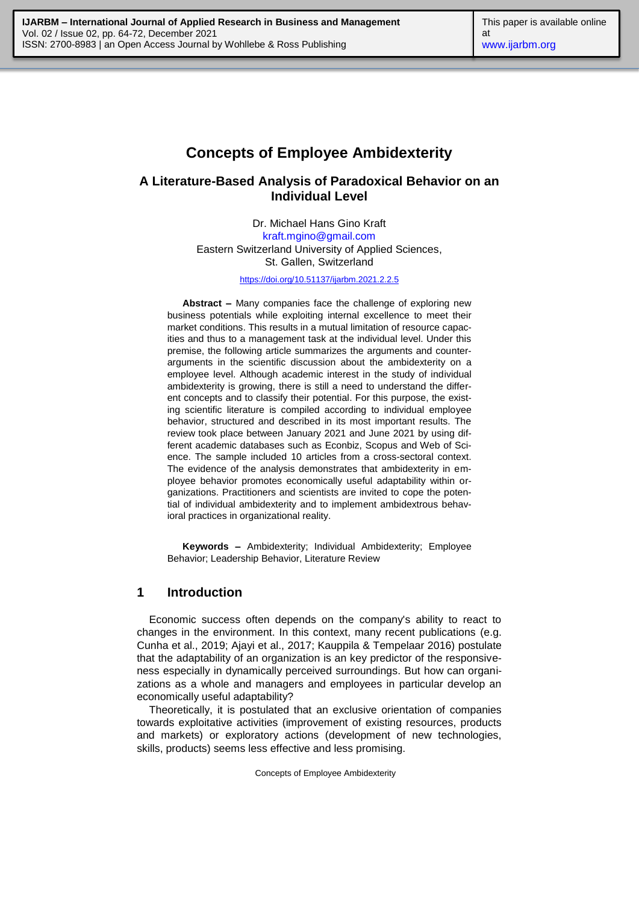# **Concepts of Employee Ambidexterity**

# **A Literature-Based Analysis of Paradoxical Behavior on an Individual Level**

Dr. Michael Hans Gino Kraft [kraft.mgino@gmail.com](mailto:kraft.mgino@gmail.com) Eastern Switzerland University of Applied Sciences, St. Gallen, Switzerland

<https://doi.org/10.51137/ijarbm.2021.2.2.5>

**Abstract –** Many companies face the challenge of exploring new business potentials while exploiting internal excellence to meet their market conditions. This results in a mutual limitation of resource capacities and thus to a management task at the individual level. Under this premise, the following article summarizes the arguments and counterarguments in the scientific discussion about the ambidexterity on a employee level. Although academic interest in the study of individual ambidexterity is growing, there is still a need to understand the different concepts and to classify their potential. For this purpose, the existing scientific literature is compiled according to individual employee behavior, structured and described in its most important results. The review took place between January 2021 and June 2021 by using different academic databases such as Econbiz, Scopus and Web of Science. The sample included 10 articles from a cross-sectoral context. The evidence of the analysis demonstrates that ambidexterity in employee behavior promotes economically useful adaptability within organizations. Practitioners and scientists are invited to cope the potential of individual ambidexterity and to implement ambidextrous behavioral practices in organizational reality.

**Keywords –** Ambidexterity; Individual Ambidexterity; Employee Behavior; Leadership Behavior, Literature Review

#### **1 Introduction**

Economic success often depends on the company's ability to react to changes in the environment. In this context, many recent publications (e.g. Cunha et al., 2019; Ajayi et al., 2017; Kauppila & Tempelaar 2016) postulate that the adaptability of an organization is an key predictor of the responsiveness especially in dynamically perceived surroundings. But how can organizations as a whole and managers and employees in particular develop an economically useful adaptability?

Theoretically, it is postulated that an exclusive orientation of companies towards exploitative activities (improvement of existing resources, products and markets) or exploratory actions (development of new technologies, skills, products) seems less effective and less promising.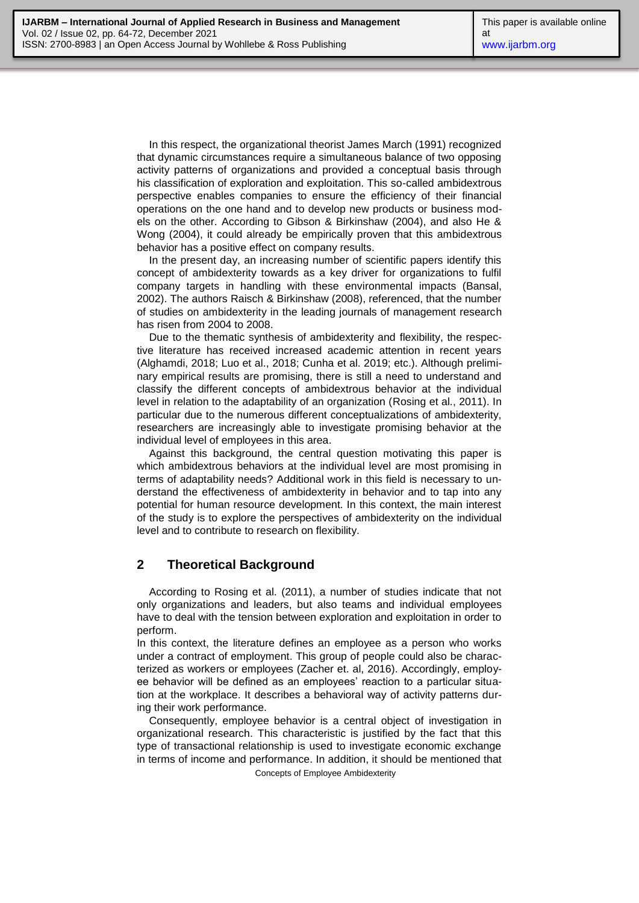In this respect, the organizational theorist James March (1991) recognized that dynamic circumstances require a simultaneous balance of two opposing activity patterns of organizations and provided a conceptual basis through his classification of exploration and exploitation. This so-called ambidextrous perspective enables companies to ensure the efficiency of their financial operations on the one hand and to develop new products or business models on the other. According to Gibson & Birkinshaw (2004), and also He & Wong (2004), it could already be empirically proven that this ambidextrous behavior has a positive effect on company results.

In the present day, an increasing number of scientific papers identify this concept of ambidexterity towards as a key driver for organizations to fulfil company targets in handling with these environmental impacts (Bansal, 2002). The authors Raisch & Birkinshaw (2008), referenced, that the number of studies on ambidexterity in the leading journals of management research has risen from 2004 to 2008.

Due to the thematic synthesis of ambidexterity and flexibility, the respective literature has received increased academic attention in recent years (Alghamdi, 2018; Luo et al., 2018; Cunha et al. 2019; etc.). Although preliminary empirical results are promising, there is still a need to understand and classify the different concepts of ambidextrous behavior at the individual level in relation to the adaptability of an organization (Rosing et al., 2011). In particular due to the numerous different conceptualizations of ambidexterity, researchers are increasingly able to investigate promising behavior at the individual level of employees in this area.

Against this background, the central question motivating this paper is which ambidextrous behaviors at the individual level are most promising in terms of adaptability needs? Additional work in this field is necessary to understand the effectiveness of ambidexterity in behavior and to tap into any potential for human resource development. In this context, the main interest of the study is to explore the perspectives of ambidexterity on the individual level and to contribute to research on flexibility.

### **2 Theoretical Background**

According to Rosing et al. (2011), a number of studies indicate that not only organizations and leaders, but also teams and individual employees have to deal with the tension between exploration and exploitation in order to perform.

In this context, the literature defines an employee as a person who works under a contract of employment. This group of people could also be characterized as workers or employees (Zacher et. al, 2016). Accordingly, employee behavior will be defined as an employees' reaction to a particular situation at the workplace. It describes a behavioral way of activity patterns during their work performance.

Consequently, employee behavior is a central object of investigation in organizational research. This characteristic is justified by the fact that this type of transactional relationship is used to investigate economic exchange in terms of income and performance. In addition, it should be mentioned that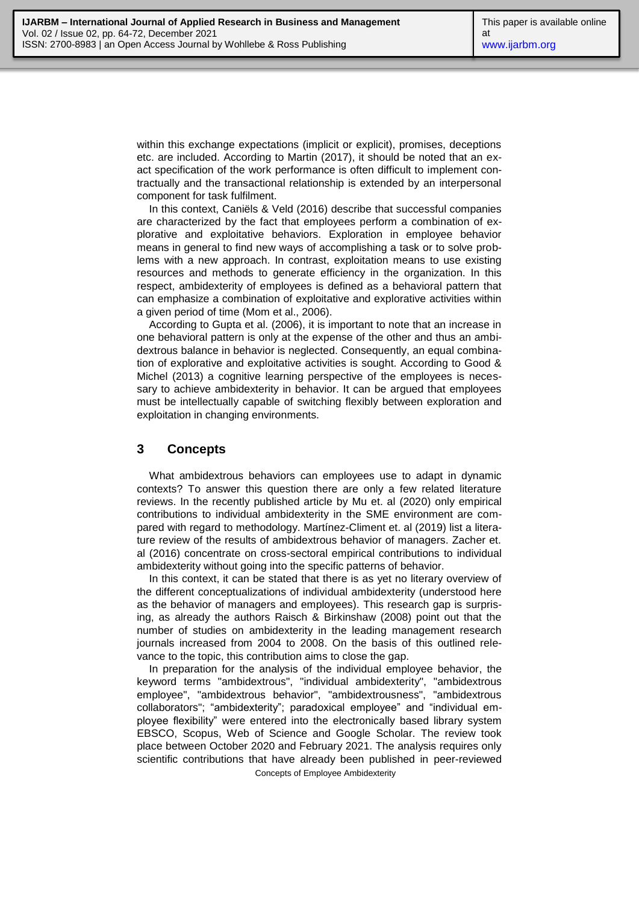within this exchange expectations (implicit or explicit), promises, deceptions etc. are included. According to Martin (2017), it should be noted that an exact specification of the work performance is often difficult to implement contractually and the transactional relationship is extended by an interpersonal component for task fulfilment.

In this context, Caniëls & Veld (2016) describe that successful companies are characterized by the fact that employees perform a combination of explorative and exploitative behaviors. Exploration in employee behavior means in general to find new ways of accomplishing a task or to solve problems with a new approach. In contrast, exploitation means to use existing resources and methods to generate efficiency in the organization. In this respect, ambidexterity of employees is defined as a behavioral pattern that can emphasize a combination of exploitative and explorative activities within a given period of time (Mom et al., 2006).

According to Gupta et al. (2006), it is important to note that an increase in one behavioral pattern is only at the expense of the other and thus an ambidextrous balance in behavior is neglected. Consequently, an equal combination of explorative and exploitative activities is sought. According to Good & Michel (2013) a cognitive learning perspective of the employees is necessary to achieve ambidexterity in behavior. It can be argued that employees must be intellectually capable of switching flexibly between exploration and exploitation in changing environments.

## **3 Concepts**

What ambidextrous behaviors can employees use to adapt in dynamic contexts? To answer this question there are only a few related literature reviews. In the recently published article by Mu et. al (2020) only empirical contributions to individual ambidexterity in the SME environment are compared with regard to methodology. Martínez-Climent et. al (2019) list a literature review of the results of ambidextrous behavior of managers. Zacher et. al (2016) concentrate on cross-sectoral empirical contributions to individual ambidexterity without going into the specific patterns of behavior.

In this context, it can be stated that there is as yet no literary overview of the different conceptualizations of individual ambidexterity (understood here as the behavior of managers and employees). This research gap is surprising, as already the authors Raisch & Birkinshaw (2008) point out that the number of studies on ambidexterity in the leading management research journals increased from 2004 to 2008. On the basis of this outlined relevance to the topic, this contribution aims to close the gap.

In preparation for the analysis of the individual employee behavior, the keyword terms "ambidextrous", "individual ambidexterity", "ambidextrous employee", "ambidextrous behavior", "ambidextrousness", "ambidextrous collaborators"; "ambidexterity"; paradoxical employee" and "individual employee flexibility" were entered into the electronically based library system EBSCO, Scopus, Web of Science and Google Scholar. The review took place between October 2020 and February 2021. The analysis requires only scientific contributions that have already been published in peer-reviewed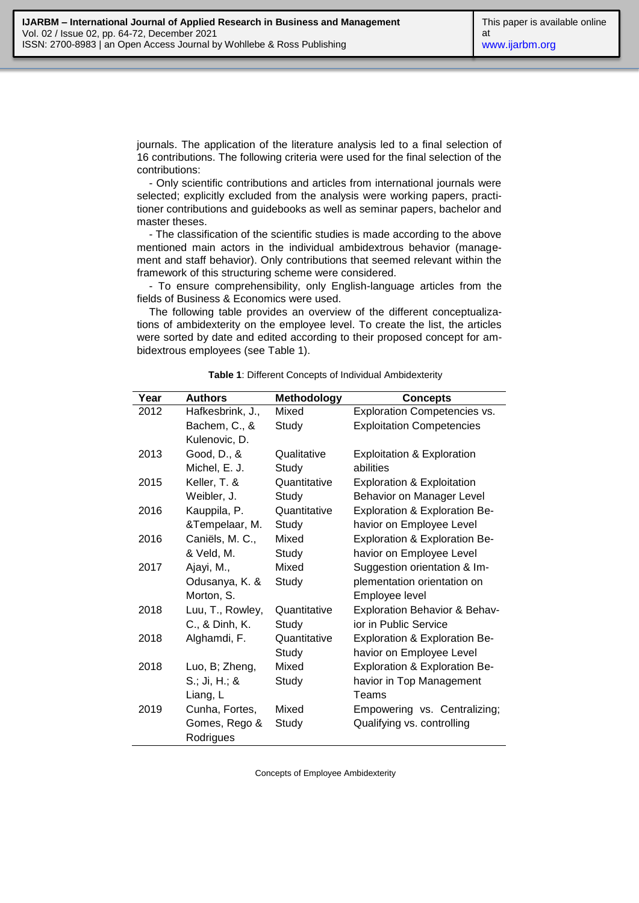journals. The application of the literature analysis led to a final selection of 16 contributions. The following criteria were used for the final selection of the contributions:

- Only scientific contributions and articles from international journals were selected; explicitly excluded from the analysis were working papers, practitioner contributions and guidebooks as well as seminar papers, bachelor and master theses.

- The classification of the scientific studies is made according to the above mentioned main actors in the individual ambidextrous behavior (management and staff behavior). Only contributions that seemed relevant within the framework of this structuring scheme were considered.

- To ensure comprehensibility, only English-language articles from the fields of Business & Economics were used.

The following table provides an overview of the different conceptualizations of ambidexterity on the employee level. To create the list, the articles were sorted by date and edited according to their proposed concept for ambidextrous employees (see Table 1).

| Year | <b>Authors</b>   | <b>Methodology</b> | <b>Concepts</b>                          |
|------|------------------|--------------------|------------------------------------------|
| 2012 | Hafkesbrink, J., | Mixed              | <b>Exploration Competencies vs.</b>      |
|      | Bachem, C., &    | Study              | <b>Exploitation Competencies</b>         |
|      | Kulenovic, D.    |                    |                                          |
| 2013 | Good, D., &      | Qualitative        | Exploitation & Exploration               |
|      | Michel, E. J.    | Study              | abilities                                |
| 2015 | Keller, T. &     | Quantitative       | <b>Exploration &amp; Exploitation</b>    |
|      | Weibler, J.      | Study              | Behavior on Manager Level                |
| 2016 | Kauppila, P.     | Quantitative       | Exploration & Exploration Be-            |
|      | &Tempelaar, M.   | Study              | havior on Employee Level                 |
| 2016 | Caniëls, M. C.,  | Mixed              | Exploration & Exploration Be-            |
|      | & Veld, M.       | Study              | havior on Employee Level                 |
| 2017 | Ajayi, M.,       | Mixed              | Suggestion orientation & Im-             |
|      | Odusanya, K. &   | Study              | plementation orientation on              |
|      | Morton, S.       |                    | Employee level                           |
| 2018 | Luu, T., Rowley, | Quantitative       | <b>Exploration Behavior &amp; Behav-</b> |
|      | C., & Dinh, K.   | Study              | ior in Public Service                    |
| 2018 | Alghamdi, F.     | Quantitative       | Exploration & Exploration Be-            |
|      |                  | Study              | havior on Employee Level                 |
| 2018 | Luo, B; Zheng,   | Mixed              | Exploration & Exploration Be-            |
|      | $S$ .; Ji, H.; & | Study              | havior in Top Management                 |
|      | Liang, L         |                    | Teams                                    |
| 2019 | Cunha, Fortes,   | Mixed              | Empowering vs. Centralizing;             |
|      | Gomes, Rego &    | Study              | Qualifying vs. controlling               |
|      | Rodrigues        |                    |                                          |

**Table 1**: Different Concepts of Individual Ambidexterity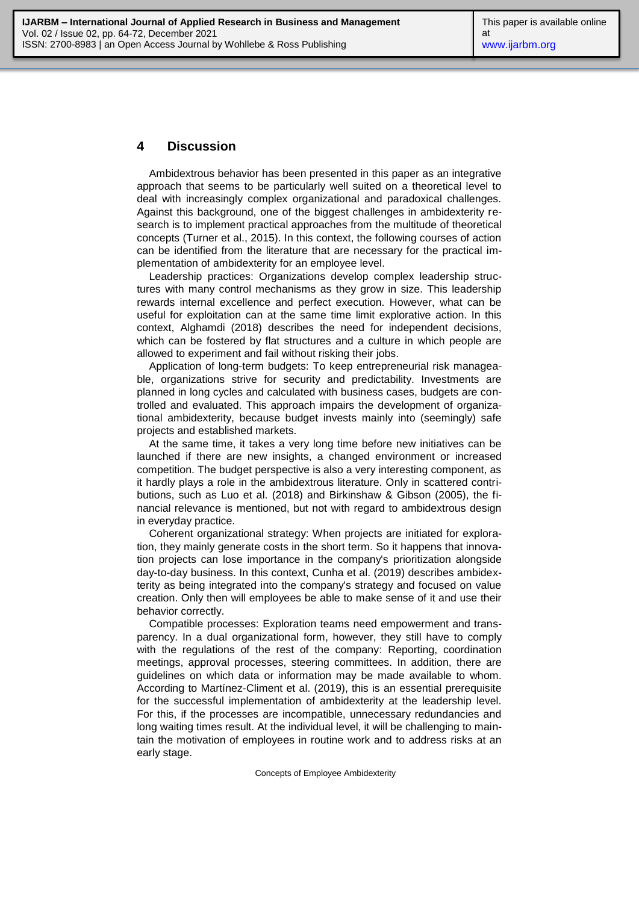#### **4 Discussion**

Ambidextrous behavior has been presented in this paper as an integrative approach that seems to be particularly well suited on a theoretical level to deal with increasingly complex organizational and paradoxical challenges. Against this background, one of the biggest challenges in ambidexterity research is to implement practical approaches from the multitude of theoretical concepts (Turner et al., 2015). In this context, the following courses of action can be identified from the literature that are necessary for the practical implementation of ambidexterity for an employee level.

Leadership practices: Organizations develop complex leadership structures with many control mechanisms as they grow in size. This leadership rewards internal excellence and perfect execution. However, what can be useful for exploitation can at the same time limit explorative action. In this context, Alghamdi (2018) describes the need for independent decisions, which can be fostered by flat structures and a culture in which people are allowed to experiment and fail without risking their jobs.

Application of long-term budgets: To keep entrepreneurial risk manageable, organizations strive for security and predictability. Investments are planned in long cycles and calculated with business cases, budgets are controlled and evaluated. This approach impairs the development of organizational ambidexterity, because budget invests mainly into (seemingly) safe projects and established markets.

At the same time, it takes a very long time before new initiatives can be launched if there are new insights, a changed environment or increased competition. The budget perspective is also a very interesting component, as it hardly plays a role in the ambidextrous literature. Only in scattered contributions, such as Luo et al. (2018) and Birkinshaw & Gibson (2005), the financial relevance is mentioned, but not with regard to ambidextrous design in everyday practice.

Coherent organizational strategy: When projects are initiated for exploration, they mainly generate costs in the short term. So it happens that innovation projects can lose importance in the company's prioritization alongside day-to-day business. In this context, Cunha et al. (2019) describes ambidexterity as being integrated into the company's strategy and focused on value creation. Only then will employees be able to make sense of it and use their behavior correctly.

Compatible processes: Exploration teams need empowerment and transparency. In a dual organizational form, however, they still have to comply with the regulations of the rest of the company: Reporting, coordination meetings, approval processes, steering committees. In addition, there are guidelines on which data or information may be made available to whom. According to Martínez-Climent et al. (2019), this is an essential prerequisite for the successful implementation of ambidexterity at the leadership level. For this, if the processes are incompatible, unnecessary redundancies and long waiting times result. At the individual level, it will be challenging to maintain the motivation of employees in routine work and to address risks at an early stage.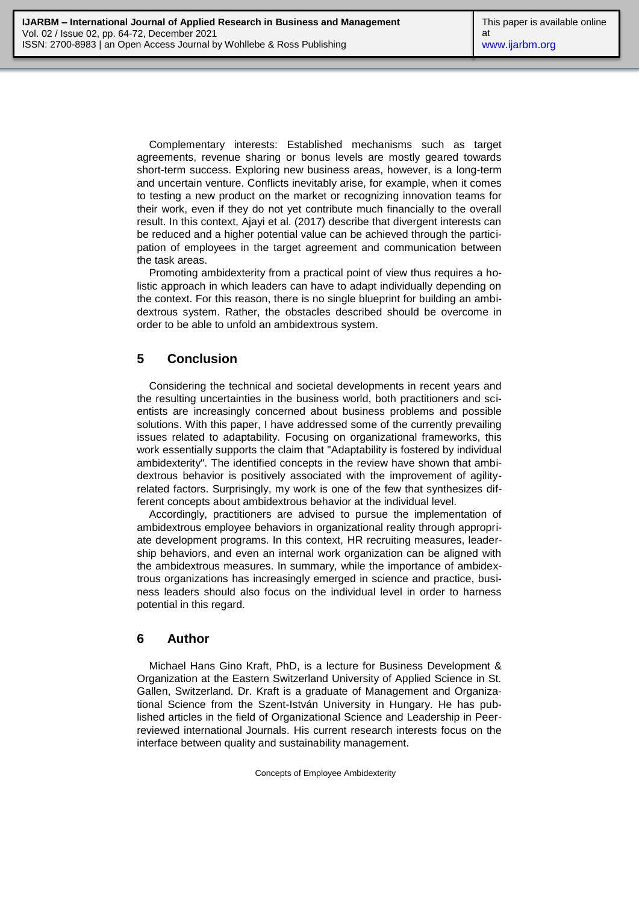Complementary interests: Established mechanisms such as target agreements, revenue sharing or bonus levels are mostly geared towards short-term success. Exploring new business areas, however, is a long-term and uncertain venture. Conflicts inevitably arise, for example, when it comes to testing a new product on the market or recognizing innovation teams for their work, even if they do not yet contribute much financially to the overall result. In this context, Ajayi et al. (2017) describe that divergent interests can be reduced and a higher potential value can be achieved through the participation of employees in the target agreement and communication between the task areas.

Promoting ambidexterity from a practical point of view thus requires a holistic approach in which leaders can have to adapt individually depending on the context. For this reason, there is no single blueprint for building an ambidextrous system. Rather, the obstacles described should be overcome in order to be able to unfold an ambidextrous system.

### **5 Conclusion**

Considering the technical and societal developments in recent years and the resulting uncertainties in the business world, both practitioners and scientists are increasingly concerned about business problems and possible solutions. With this paper, I have addressed some of the currently prevailing issues related to adaptability. Focusing on organizational frameworks, this work essentially supports the claim that "Adaptability is fostered by individual ambidexterity". The identified concepts in the review have shown that ambidextrous behavior is positively associated with the improvement of agilityrelated factors. Surprisingly, my work is one of the few that synthesizes different concepts about ambidextrous behavior at the individual level.

Accordingly, practitioners are advised to pursue the implementation of ambidextrous employee behaviors in organizational reality through appropriate development programs. In this context, HR recruiting measures, leadership behaviors, and even an internal work organization can be aligned with the ambidextrous measures. In summary, while the importance of ambidextrous organizations has increasingly emerged in science and practice, business leaders should also focus on the individual level in order to harness potential in this regard.

### **6 Author**

Michael Hans Gino Kraft, PhD, is a lecture for Business Development & Organization at the Eastern Switzerland University of Applied Science in St. Gallen, Switzerland. Dr. Kraft is a graduate of Management and Organizational Science from the Szent-István University in Hungary. He has published articles in the field of Organizational Science and Leadership in Peerreviewed international Journals. His current research interests focus on the interface between quality and sustainability management.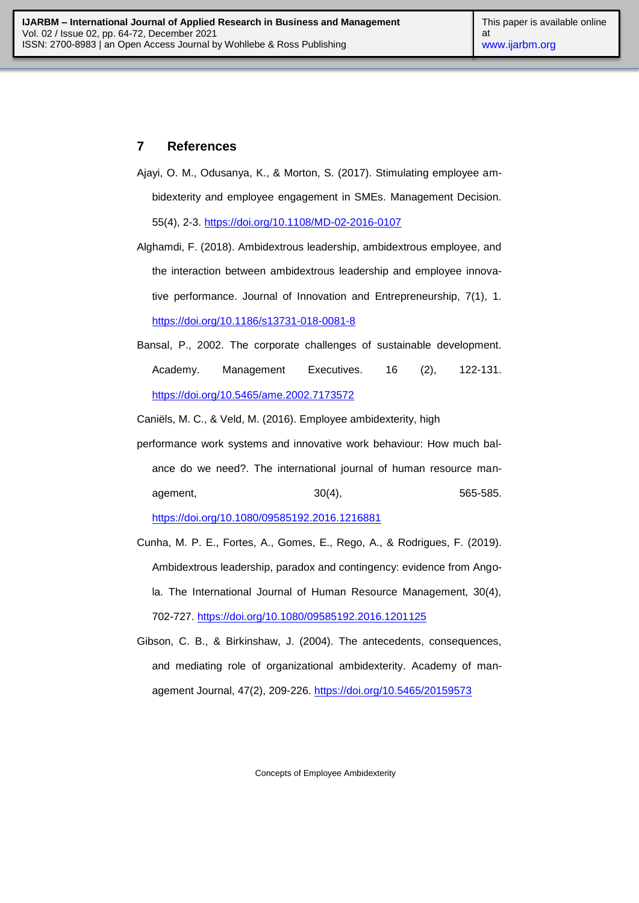### **7 References**

- Ajayi, O. M., Odusanya, K., & Morton, S. (2017). Stimulating employee ambidexterity and employee engagement in SMEs. Management Decision. 55(4), 2-3. <https://doi.org/10.1108/MD-02-2016-0107>
- Alghamdi, F. (2018). Ambidextrous leadership, ambidextrous employee, and the interaction between ambidextrous leadership and employee innovative performance. Journal of Innovation and Entrepreneurship, 7(1), 1. <https://doi.org/10.1186/s13731-018-0081-8>
- Bansal, P., 2002. The corporate challenges of sustainable development. Academy. Management Executives. 16 (2), 122-131. <https://doi.org/10.5465/ame.2002.7173572>

Caniëls, M. C., & Veld, M. (2016). Employee ambidexterity, high

performance work systems and innovative work behaviour: How much balance do we need?. The international journal of human resource management. 30(4), 3004, 565-585.

<https://doi.org/10.1080/09585192.2016.1216881>

- Cunha, M. P. E., Fortes, A., Gomes, E., Rego, A., & Rodrigues, F. (2019). Ambidextrous leadership, paradox and contingency: evidence from Angola. The International Journal of Human Resource Management, 30(4), 702-727. <https://doi.org/10.1080/09585192.2016.1201125>
- Gibson, C. B., & Birkinshaw, J. (2004). The antecedents, consequences, and mediating role of organizational ambidexterity. Academy of management Journal, 47(2), 209-226. <https://doi.org/10.5465/20159573>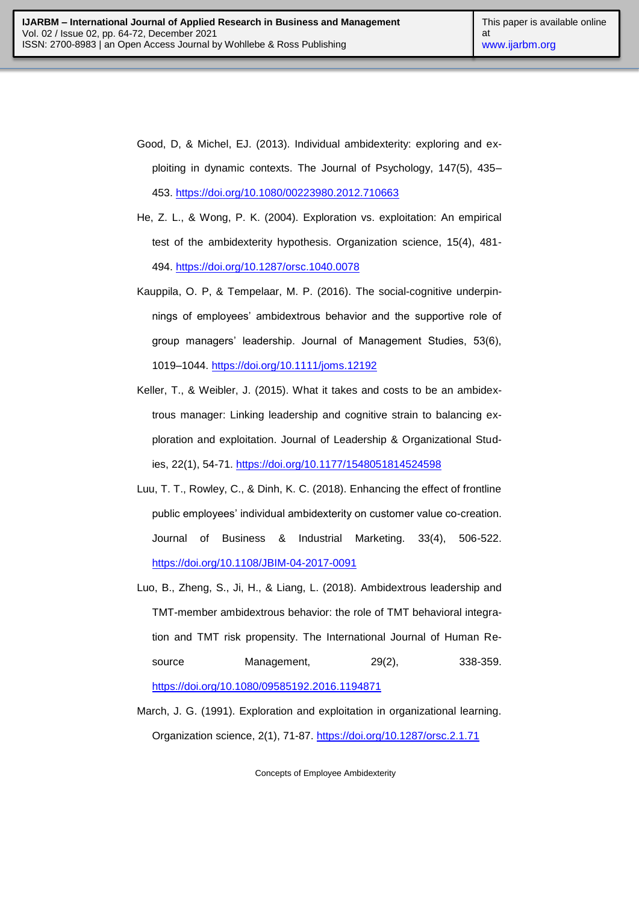- Good, D, & Michel, EJ. (2013). Individual ambidexterity: exploring and exploiting in dynamic contexts. The Journal of Psychology, 147(5), 435– 453. <https://doi.org/10.1080/00223980.2012.710663>
- He, Z. L., & Wong, P. K. (2004). Exploration vs. exploitation: An empirical test of the ambidexterity hypothesis. Organization science, 15(4), 481- 494. <https://doi.org/10.1287/orsc.1040.0078>
- Kauppila, O. P, & Tempelaar, M. P. (2016). The social-cognitive underpinnings of employees' ambidextrous behavior and the supportive role of group managers' leadership. Journal of Management Studies, 53(6), 1019–1044. <https://doi.org/10.1111/joms.12192>
- Keller, T., & Weibler, J. (2015). What it takes and costs to be an ambidextrous manager: Linking leadership and cognitive strain to balancing exploration and exploitation. Journal of Leadership & Organizational Studies, 22(1), 54-71. <https://doi.org/10.1177/1548051814524598>
- Luu, T. T., Rowley, C., & Dinh, K. C. (2018). Enhancing the effect of frontline public employees' individual ambidexterity on customer value co-creation. Journal of Business & Industrial Marketing. 33(4), 506-522. <https://doi.org/10.1108/JBIM-04-2017-0091>
- Luo, B., Zheng, S., Ji, H., & Liang, L. (2018). Ambidextrous leadership and TMT-member ambidextrous behavior: the role of TMT behavioral integration and TMT risk propensity. The International Journal of Human Resource Management, 29(2), 338-359. <https://doi.org/10.1080/09585192.2016.1194871>
- March, J. G. (1991). Exploration and exploitation in organizational learning. Organization science, 2(1), 71-87. <https://doi.org/10.1287/orsc.2.1.71>